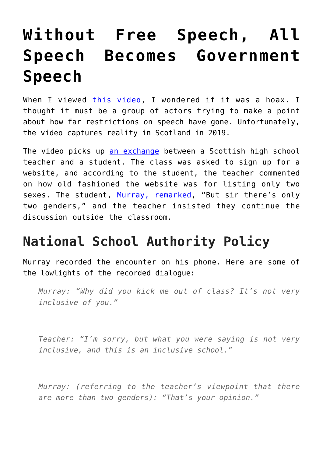# **[Without Free Speech, All](https://intellectualtakeout.org/2019/11/without-free-speech-all-speech-becomes-government-speech/) [Speech Becomes Government](https://intellectualtakeout.org/2019/11/without-free-speech-all-speech-becomes-government-speech/) [Speech](https://intellectualtakeout.org/2019/11/without-free-speech-all-speech-becomes-government-speech/)**

When I viewed [this video](https://www.youtube.com/watch?v=5DkC6qowltU), I wondered if it was a hoax. I thought it must be a group of actors trying to make a point about how far restrictions on speech have gone. Unfortunately, the video captures reality in Scotland in 2019.

The video picks up [an exchange](https://www.newsweek.com/mearns-academy-aberdeen-gender-politics-1447334) between a Scottish high school teacher and a student. The class was asked to sign up for a website, and according to the student, the teacher commented on how old fashioned the website was for listing only two sexes. The student, [Murray, remarked](https://www.standard.co.uk/news/uk/teenager-who-went-viral-after-arguing-with-his-teacher-that-there-are-only-two-genders-told-its-not-a4180816.html), "But sir there's only two genders," and the teacher insisted they continue the discussion outside the classroom.

### **National School Authority Policy**

Murray recorded the encounter on his phone. Here are some of the lowlights of the recorded dialogue:

*Murray: "Why did you kick me out of class? It's not very inclusive of you."*

*Teacher: "I'm sorry, but what you were saying is not very inclusive, and this is an inclusive school."*

*Murray: (referring to the teacher's viewpoint that there are more than two genders): "That's your opinion."*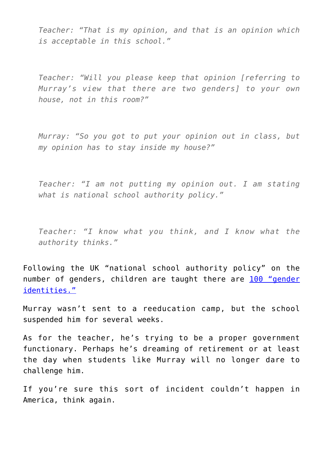*Teacher: "That is my opinion, and that is an opinion which is acceptable in this school."*

*Teacher: "Will you please keep that opinion [referring to Murray's view that there are two genders] to your own house, not in this room?"*

*Murray: "So you got to put your opinion out in class, but my opinion has to stay inside my house?"*

*Teacher: "I am not putting my opinion out. I am stating what is national school authority policy."*

*Teacher: "I know what you think, and I know what the authority thinks."*

Following the UK "national school authority policy" on the number of genders, children are taught there are [100 "gender](https://www.thesun.co.uk/news/9886252/bbc-schools-children-100-genders/) [identities."](https://www.thesun.co.uk/news/9886252/bbc-schools-children-100-genders/)

Murray wasn't sent to a reeducation camp, but the school suspended him for several weeks.

As for the teacher, he's trying to be a proper government functionary. Perhaps he's dreaming of retirement or at least the day when students like Murray will no longer dare to challenge him.

If you're sure this sort of incident couldn't happen in America, think again.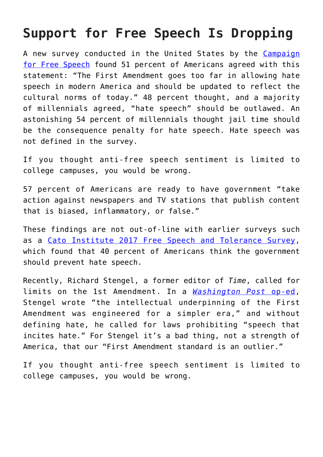### **Support for Free Speech Is Dropping**

A new survey conducted in the United States by the [Campaign](https://www.dailymail.co.uk/news/article-7613617/Americans-want-Amendment-changed-reflect-cultural-norms-today.html) [for Free Speech](https://www.dailymail.co.uk/news/article-7613617/Americans-want-Amendment-changed-reflect-cultural-norms-today.html) found 51 percent of Americans agreed with this statement: "The First Amendment goes too far in allowing hate speech in modern America and should be updated to reflect the cultural norms of today." 48 percent thought, and a majority of millennials agreed, "hate speech" should be outlawed. An astonishing 54 percent of millennials thought jail time should be the consequence penalty for hate speech. Hate speech was not defined in the survey.

If you thought anti-free speech sentiment is limited to college campuses, you would be wrong.

57 percent of Americans are ready to have government "take action against newspapers and TV stations that publish content that is biased, inflammatory, or false."

These findings are not out-of-line with earlier surveys such as a [Cato Institute 2017 Free Speech and Tolerance Survey,](https://www.cato.org/survey-reports/state-free-speech-tolerance-america) which found that 40 percent of Americans think the government should prevent hate speech.

Recently, Richard Stengel, a former editor of *Time*, called for limits on the 1st Amendment. In a *[Washington Post](https://www.washingtonpost.com/opinions/2019/10/29/why-america-needs-hate-speech-law/)* [op-ed,](https://www.washingtonpost.com/opinions/2019/10/29/why-america-needs-hate-speech-law/) Stengel wrote "the intellectual underpinning of the First Amendment was engineered for a simpler era," and without defining hate, he called for laws prohibiting "speech that incites hate." For Stengel it's a bad thing, not a strength of America, that our "First Amendment standard is an outlier."

If you thought anti-free speech sentiment is limited to college campuses, you would be wrong.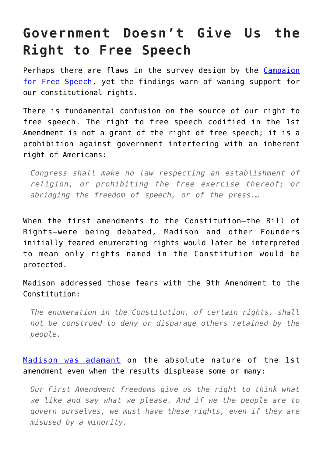# **Government Doesn't Give Us the Right to Free Speech**

Perhaps there are flaws in the survey design by the [Campaign](https://www.campaignforfreespeech.org/new-poll-free-speech-under-attack-majority-of-millennials-agree-jail-time-is-appropriate-for-certain-speech/) [for Free Speech,](https://www.campaignforfreespeech.org/new-poll-free-speech-under-attack-majority-of-millennials-agree-jail-time-is-appropriate-for-certain-speech/) yet the findings warn of waning support for our constitutional rights.

There is fundamental confusion on the source of our right to free speech. The right to free speech codified in the 1st Amendment is not a grant of the right of free speech; it is a prohibition against government interfering with an inherent right of Americans:

*Congress shall make no law respecting an establishment of religion, or prohibiting the free exercise thereof; or abridging the freedom of speech, or of the press.…*

When the first amendments to the Constitution—the Bill of Rights—were being debated, Madison and other Founders initially feared enumerating rights would later be interpreted to mean only rights named in the Constitution would be protected.

Madison addressed those fears with the 9th Amendment to the Constitution:

*The enumeration in the Constitution, of certain rights, shall not be construed to deny or disparage others retained by the people.*

#### [Madison was adamant](https://www.nationalreview.com/2017/09/james-madison-free-speech-rights-must-be-absolute-nearly/) on the absolute nature of the 1st amendment even when the results displease some or many:

*Our First Amendment freedoms give us the right to think what we like and say what we please. And if we the people are to govern ourselves, we must have these rights, even if they are misused by a minority.*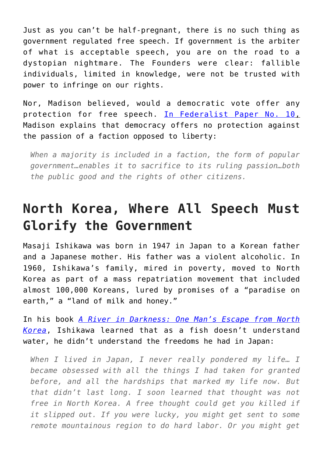Just as you can't be half-pregnant, there is no such thing as government regulated free speech. If government is the arbiter of what is acceptable speech, you are on the road to a dystopian nightmare. The Founders were clear: fallible individuals, limited in knowledge, were not be trusted with power to infringe on our rights.

Nor, Madison believed, would a democratic vote offer any protection for free speech. [In Federalist Paper No. 10,](http://avalon.law.yale.edu/18th_century/fed10.asp) Madison explains that democracy offers no protection against the passion of a faction opposed to liberty:

*When a majority is included in a faction, the form of popular government…enables it to sacrifice to its ruling passion…both the public good and the rights of other citizens.*

## **North Korea, Where All Speech Must Glorify the Government**

Masaji Ishikawa was born in 1947 in Japan to a Korean father and a Japanese mother. His father was a violent alcoholic. In 1960, Ishikawa's family, mired in poverty, moved to North Korea as part of a mass repatriation movement that included almost 100,000 Koreans, lured by promises of a "paradise on earth," a "land of milk and honey."

In his book *[A River in Darkness: One Man's Escape from North](https://amzn.to/34qXpoq) [Korea](https://amzn.to/34qXpoq)*, Ishikawa learned that as a fish doesn't understand water, he didn't understand the freedoms he had in Japan:

*When I lived in Japan, I never really pondered my life… I became obsessed with all the things I had taken for granted before, and all the hardships that marked my life now. But that didn't last long. I soon learned that thought was not free in North Korea. A free thought could get you killed if it slipped out. If you were lucky, you might get sent to some remote mountainous region to do hard labor. Or you might get*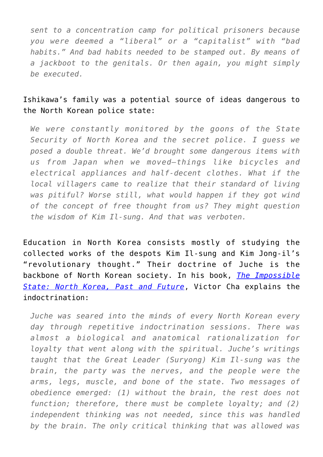*sent to a concentration camp for political prisoners because you were deemed a "liberal" or a "capitalist" with "bad habits." And bad habits needed to be stamped out. By means of a jackboot to the genitals. Or then again, you might simply be executed.*

#### Ishikawa's family was a potential source of ideas dangerous to the North Korean police state:

*We were constantly monitored by the goons of the State Security of North Korea and the secret police. I guess we posed a double threat. We'd brought some dangerous items with us from Japan when we moved—things like bicycles and electrical appliances and half-decent clothes. What if the local villagers came to realize that their standard of living was pitiful? Worse still, what would happen if they got wind of the concept of free thought from us? They might question the wisdom of Kim Il-sung. And that was verboten.*

Education in North Korea consists mostly of studying the collected works of the despots Kim Il-sung and Kim Jong-il's "revolutionary thought." Their doctrine of Juche is the backbone of North Korean society. In his book, *[The Impossible](https://amzn.to/2qlXQBw) [State: North Korea, Past and Future](https://amzn.to/2qlXQBw)*, Victor Cha explains the indoctrination:

*Juche was seared into the minds of every North Korean every day through repetitive indoctrination sessions. There was almost a biological and anatomical rationalization for loyalty that went along with the spiritual. Juche's writings taught that the Great Leader (Suryong) Kim Il-sung was the brain, the party was the nerves, and the people were the arms, legs, muscle, and bone of the state. Two messages of obedience emerged: (1) without the brain, the rest does not function; therefore, there must be complete loyalty; and (2) independent thinking was not needed, since this was handled by the brain. The only critical thinking that was allowed was*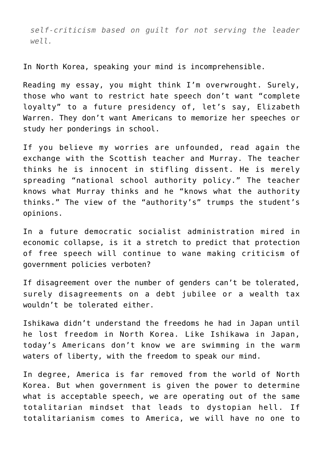*self-criticism based on guilt for not serving the leader well.*

In North Korea, speaking your mind is incomprehensible.

Reading my essay, you might think I'm overwrought. Surely, those who want to restrict hate speech don't want "complete loyalty" to a future presidency of, let's say, Elizabeth Warren. They don't want Americans to memorize her speeches or study her ponderings in school.

If you believe my worries are unfounded, read again the exchange with the Scottish teacher and Murray. The teacher thinks he is innocent in stifling dissent. He is merely spreading "national school authority policy." The teacher knows what Murray thinks and he "knows what the authority thinks." The view of the "authority's" trumps the student's opinions.

In a future democratic socialist administration mired in economic collapse, is it a stretch to predict that protection of free speech will continue to wane making criticism of government policies verboten?

If disagreement over the number of genders can't be tolerated, surely disagreements on a debt jubilee or a wealth tax wouldn't be tolerated either.

Ishikawa didn't understand the freedoms he had in Japan until he lost freedom in North Korea. Like Ishikawa in Japan, today's Americans don't know we are swimming in the warm waters of liberty, with the freedom to speak our mind.

In degree, America is far removed from the world of North Korea. But when government is given the power to determine what is acceptable speech, we are operating out of the same totalitarian mindset that leads to dystopian hell. If totalitarianism comes to America, we will have no one to